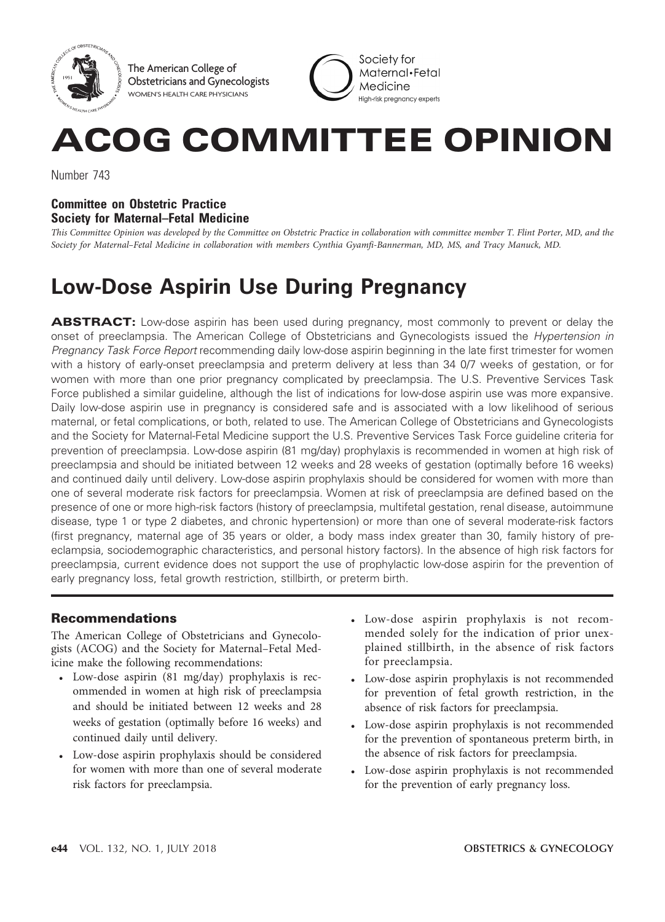

The American College of Obstetricians and Gynecologists WOMEN'S HEALTH CARE PHYSICIANS

Society for Maternal·Fetal Medicine Hiah-risk preanancy experts

# ACOG COMMITTEE OPINION

Number 743

# Committee on Obstetric Practice Society for Maternal–Fetal Medicine

This Committee Opinion was developed by the Committee on Obstetric Practice in collaboration with committee member T. Flint Porter, MD, and the Society for Maternal–Fetal Medicine in collaboration with members Cynthia Gyamfi-Bannerman, MD, MS, and Tracy Manuck, MD.

# Low-Dose Aspirin Use During Pregnancy

**ABSTRACT:** Low-dose aspirin has been used during pregnancy, most commonly to prevent or delay the onset of preeclampsia. The American College of Obstetricians and Gynecologists issued the Hypertension in Pregnancy Task Force Report recommending daily low-dose aspirin beginning in the late first trimester for women with a history of early-onset preeclampsia and preterm delivery at less than 34 0/7 weeks of gestation, or for women with more than one prior pregnancy complicated by preeclampsia. The U.S. Preventive Services Task Force published a similar guideline, although the list of indications for low-dose aspirin use was more expansive. Daily low-dose aspirin use in pregnancy is considered safe and is associated with a low likelihood of serious maternal, or fetal complications, or both, related to use. The American College of Obstetricians and Gynecologists and the Society for Maternal-Fetal Medicine support the U.S. Preventive Services Task Force guideline criteria for prevention of preeclampsia. Low-dose aspirin (81 mg/day) prophylaxis is recommended in women at high risk of preeclampsia and should be initiated between 12 weeks and 28 weeks of gestation (optimally before 16 weeks) and continued daily until delivery. Low-dose aspirin prophylaxis should be considered for women with more than one of several moderate risk factors for preeclampsia. Women at risk of preeclampsia are defined based on the presence of one or more high-risk factors (history of preeclampsia, multifetal gestation, renal disease, autoimmune disease, type 1 or type 2 diabetes, and chronic hypertension) or more than one of several moderate-risk factors (first pregnancy, maternal age of 35 years or older, a body mass index greater than 30, family history of preeclampsia, sociodemographic characteristics, and personal history factors). In the absence of high risk factors for preeclampsia, current evidence does not support the use of prophylactic low-dose aspirin for the prevention of early pregnancy loss, fetal growth restriction, stillbirth, or preterm birth.

# Recommendations

The American College of Obstetricians and Gynecologists (ACOG) and the Society for Maternal–Fetal Medicine make the following recommendations:

- <sup>c</sup> Low-dose aspirin (81 mg/day) prophylaxis is recommended in women at high risk of preeclampsia and should be initiated between 12 weeks and 28 weeks of gestation (optimally before 16 weeks) and continued daily until delivery.
- Low-dose aspirin prophylaxis should be considered for women with more than one of several moderate risk factors for preeclampsia.
- Low-dose aspirin prophylaxis is not recommended solely for the indication of prior unexplained stillbirth, in the absence of risk factors for preeclampsia.
- Low-dose aspirin prophylaxis is not recommended for prevention of fetal growth restriction, in the absence of risk factors for preeclampsia.
- Low-dose aspirin prophylaxis is not recommended for the prevention of spontaneous preterm birth, in the absence of risk factors for preeclampsia.
- Low-dose aspirin prophylaxis is not recommended for the prevention of early pregnancy loss.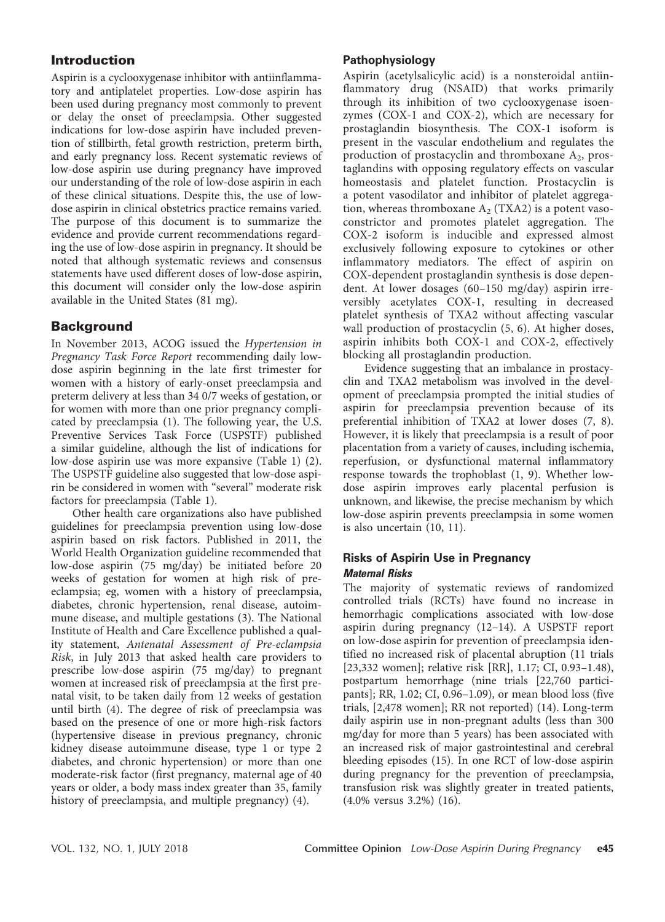# Introduction

Aspirin is a cyclooxygenase inhibitor with antiinflammatory and antiplatelet properties. Low-dose aspirin has been used during pregnancy most commonly to prevent or delay the onset of preeclampsia. Other suggested indications for low-dose aspirin have included prevention of stillbirth, fetal growth restriction, preterm birth, and early pregnancy loss. Recent systematic reviews of low-dose aspirin use during pregnancy have improved our understanding of the role of low-dose aspirin in each of these clinical situations. Despite this, the use of lowdose aspirin in clinical obstetrics practice remains varied. The purpose of this document is to summarize the evidence and provide current recommendations regarding the use of low-dose aspirin in pregnancy. It should be noted that although systematic reviews and consensus statements have used different doses of low-dose aspirin, this document will consider only the low-dose aspirin available in the United States (81 mg).

# **Background**

In November 2013, ACOG issued the Hypertension in Pregnancy Task Force Report recommending daily lowdose aspirin beginning in the late first trimester for women with a history of early-onset preeclampsia and preterm delivery at less than 34 0/7 weeks of gestation, or for women with more than one prior pregnancy complicated by preeclampsia (1). The following year, the U.S. Preventive Services Task Force (USPSTF) published a similar guideline, although the list of indications for low-dose aspirin use was more expansive (Table 1) (2). The USPSTF guideline also suggested that low-dose aspirin be considered in women with "several" moderate risk factors for preeclampsia (Table 1).

Other health care organizations also have published guidelines for preeclampsia prevention using low-dose aspirin based on risk factors. Published in 2011, the World Health Organization guideline recommended that low-dose aspirin (75 mg/day) be initiated before 20 weeks of gestation for women at high risk of preeclampsia; eg, women with a history of preeclampsia, diabetes, chronic hypertension, renal disease, autoimmune disease, and multiple gestations (3). The National Institute of Health and Care Excellence published a quality statement, Antenatal Assessment of Pre-eclampsia Risk, in July 2013 that asked health care providers to prescribe low-dose aspirin (75 mg/day) to pregnant women at increased risk of preeclampsia at the first prenatal visit, to be taken daily from 12 weeks of gestation until birth (4). The degree of risk of preeclampsia was based on the presence of one or more high-risk factors (hypertensive disease in previous pregnancy, chronic kidney disease autoimmune disease, type 1 or type 2 diabetes, and chronic hypertension) or more than one moderate-risk factor (first pregnancy, maternal age of 40 years or older, a body mass index greater than 35, family history of preeclampsia, and multiple pregnancy) (4).

#### Pathophysiology

Aspirin (acetylsalicylic acid) is a nonsteroidal antiinflammatory drug (NSAID) that works primarily through its inhibition of two cyclooxygenase isoenzymes (COX-1 and COX-2), which are necessary for prostaglandin biosynthesis. The COX-1 isoform is present in the vascular endothelium and regulates the production of prostacyclin and thromboxane  $A_2$ , prostaglandins with opposing regulatory effects on vascular homeostasis and platelet function. Prostacyclin is a potent vasodilator and inhibitor of platelet aggregation, whereas thromboxane  $A_2$  (TXA2) is a potent vasoconstrictor and promotes platelet aggregation. The COX-2 isoform is inducible and expressed almost exclusively following exposure to cytokines or other inflammatory mediators. The effect of aspirin on COX-dependent prostaglandin synthesis is dose dependent. At lower dosages (60–150 mg/day) aspirin irreversibly acetylates COX-1, resulting in decreased platelet synthesis of TXA2 without affecting vascular wall production of prostacyclin (5, 6). At higher doses, aspirin inhibits both COX-1 and COX-2, effectively blocking all prostaglandin production.

Evidence suggesting that an imbalance in prostacyclin and TXA2 metabolism was involved in the development of preeclampsia prompted the initial studies of aspirin for preeclampsia prevention because of its preferential inhibition of TXA2 at lower doses (7, 8). However, it is likely that preeclampsia is a result of poor placentation from a variety of causes, including ischemia, reperfusion, or dysfunctional maternal inflammatory response towards the trophoblast (1, 9). Whether lowdose aspirin improves early placental perfusion is unknown, and likewise, the precise mechanism by which low-dose aspirin prevents preeclampsia in some women is also uncertain (10, 11).

# Risks of Aspirin Use in Pregnancy Maternal Risks

The majority of systematic reviews of randomized controlled trials (RCTs) have found no increase in hemorrhagic complications associated with low-dose aspirin during pregnancy (12–14). A USPSTF report on low-dose aspirin for prevention of preeclampsia identified no increased risk of placental abruption (11 trials [23,332 women]; relative risk [RR], 1.17; CI, 0.93-1.48), postpartum hemorrhage (nine trials [22,760 participants]; RR, 1.02; CI, 0.96–1.09), or mean blood loss (five trials, [2,478 women]; RR not reported) (14). Long-term daily aspirin use in non-pregnant adults (less than 300 mg/day for more than 5 years) has been associated with an increased risk of major gastrointestinal and cerebral bleeding episodes (15). In one RCT of low-dose aspirin during pregnancy for the prevention of preeclampsia, transfusion risk was slightly greater in treated patients, (4.0% versus 3.2%) (16).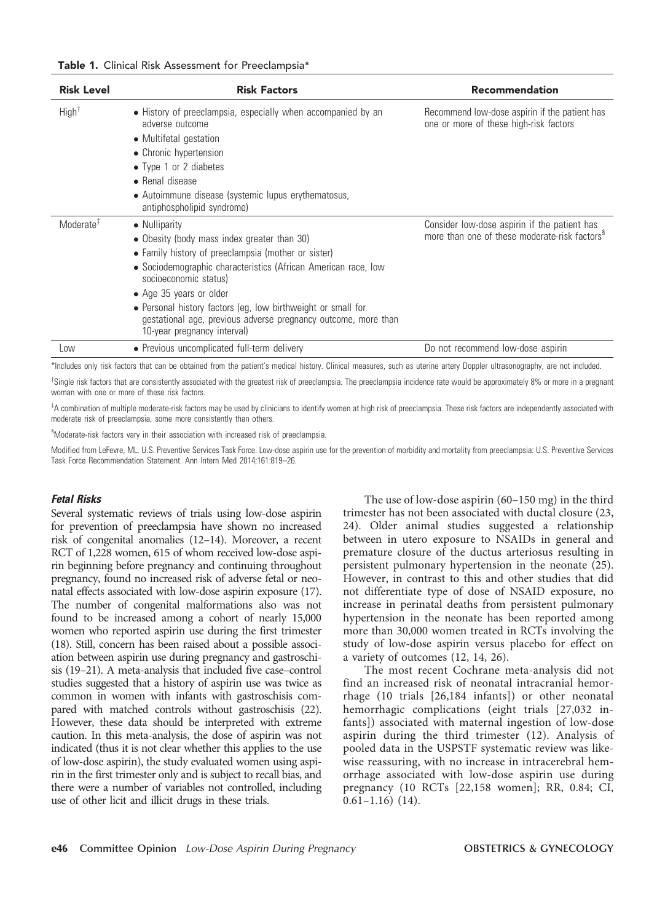|  |  |  |  |  | Table 1. Clinical Risk Assessment for Preeclampsia* |
|--|--|--|--|--|-----------------------------------------------------|
|--|--|--|--|--|-----------------------------------------------------|

| <b>Risk Level</b>     | <b>Risk Factors</b>                                                                                                                                                                                                                                                                                                                                                                                        | Recommendation                                                                                            |  |
|-----------------------|------------------------------------------------------------------------------------------------------------------------------------------------------------------------------------------------------------------------------------------------------------------------------------------------------------------------------------------------------------------------------------------------------------|-----------------------------------------------------------------------------------------------------------|--|
| High <sup>†</sup>     | • History of preeclampsia, especially when accompanied by an<br>adverse outcome<br>• Multifetal gestation<br>• Chronic hypertension<br>• Type 1 or 2 diabetes<br>• Renal disease<br>• Autoimmune disease (systemic lupus erythematosus,<br>antiphospholipid syndrome)                                                                                                                                      | Recommend low-dose aspirin if the patient has<br>one or more of these high-risk factors                   |  |
| Moderate <sup>#</sup> | • Nulliparity<br>• Obesity (body mass index greater than 30)<br>• Family history of preeclampsia (mother or sister)<br>· Sociodemographic characteristics (African American race, low<br>socioeconomic status)<br>• Age 35 years or older<br>• Personal history factors (eg, low birthweight or small for<br>gestational age, previous adverse pregnancy outcome, more than<br>10-year pregnancy interval) | Consider low-dose aspirin if the patient has<br>more than one of these moderate-risk factors <sup>§</sup> |  |
| Low                   | • Previous uncomplicated full-term delivery                                                                                                                                                                                                                                                                                                                                                                | Do not recommend low-dose aspirin                                                                         |  |

\*Includes only risk factors that can be obtained from the patient's medical history. Clinical measures, such as uterine artery Doppler ultrasonography, are not included.

<sup>T</sup>Single risk factors that are consistently associated with the greatest risk of preeclampsia. The preeclampsia incidence rate would be approximately 8% or more in a pregnant woman with one or more of these risk factors.

 $^{\texttt{T}}$ A combination of multiple moderate-risk factors may be used by clinicians to identify women at high risk of preeclampsia. These risk factors are independently associated with moderate risk of preeclampsia, some more consistently than others.

<sup>§</sup>Moderate-risk factors vary in their association with increased risk of preeclampsia.

Modified from LeFevre, ML. U.S. Preventive Services Task Force. Low-dose aspirin use for the prevention of morbidity and mortality from preeclampsia: U.S. Preventive Services Task Force Recommendation Statement. Ann Intern Med 2014;161:819–26.

#### Fetal Risks

Several systematic reviews of trials using low-dose aspirin for prevention of preeclampsia have shown no increased risk of congenital anomalies (12–14). Moreover, a recent RCT of 1,228 women, 615 of whom received low-dose aspirin beginning before pregnancy and continuing throughout pregnancy, found no increased risk of adverse fetal or neonatal effects associated with low-dose aspirin exposure (17). The number of congenital malformations also was not found to be increased among a cohort of nearly 15,000 women who reported aspirin use during the first trimester (18). Still, concern has been raised about a possible association between aspirin use during pregnancy and gastroschisis (19–21). A meta-analysis that included five case–control studies suggested that a history of aspirin use was twice as common in women with infants with gastroschisis compared with matched controls without gastroschisis (22). However, these data should be interpreted with extreme caution. In this meta-analysis, the dose of aspirin was not indicated (thus it is not clear whether this applies to the use of low-dose aspirin), the study evaluated women using aspirin in the first trimester only and is subject to recall bias, and there were a number of variables not controlled, including use of other licit and illicit drugs in these trials.

The use of low-dose aspirin (60–150 mg) in the third trimester has not been associated with ductal closure (23, 24). Older animal studies suggested a relationship between in utero exposure to NSAIDs in general and premature closure of the ductus arteriosus resulting in persistent pulmonary hypertension in the neonate (25). However, in contrast to this and other studies that did not differentiate type of dose of NSAID exposure, no increase in perinatal deaths from persistent pulmonary hypertension in the neonate has been reported among more than 30,000 women treated in RCTs involving the study of low-dose aspirin versus placebo for effect on a variety of outcomes (12, 14, 26).

The most recent Cochrane meta-analysis did not find an increased risk of neonatal intracranial hemorrhage (10 trials [26,184 infants]) or other neonatal hemorrhagic complications (eight trials [27,032 infants]) associated with maternal ingestion of low-dose aspirin during the third trimester (12). Analysis of pooled data in the USPSTF systematic review was likewise reassuring, with no increase in intracerebral hemorrhage associated with low-dose aspirin use during pregnancy (10 RCTs [22,158 women]; RR, 0.84; CI,  $0.61-1.16)$  (14).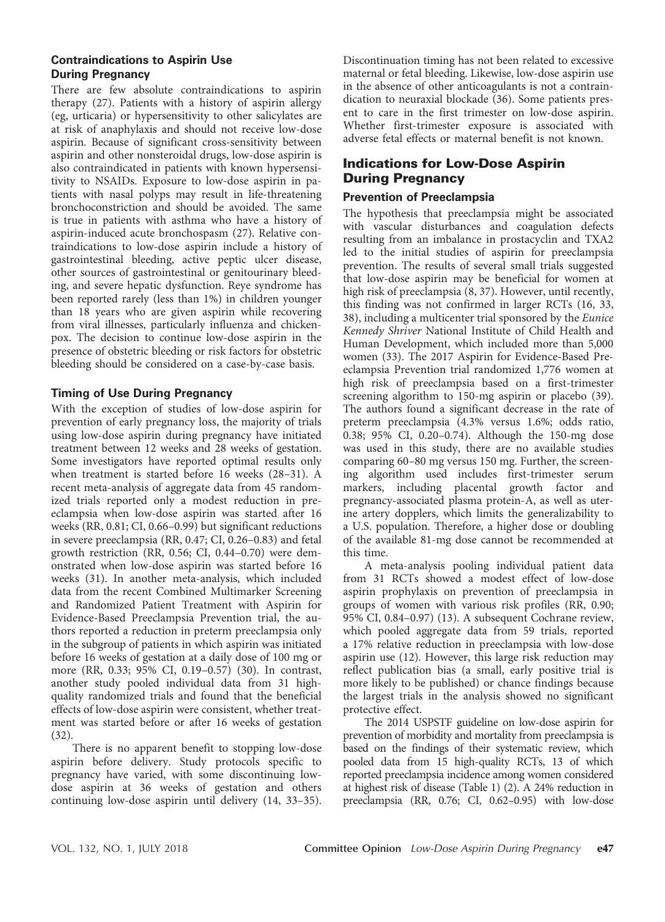#### Contraindications to Aspirin Use During Pregnancy

There are few absolute contraindications to aspirin therapy (27). Patients with a history of aspirin allergy (eg, urticaria) or hypersensitivity to other salicylates are at risk of anaphylaxis and should not receive low-dose aspirin. Because of significant cross-sensitivity between aspirin and other nonsteroidal drugs, low-dose aspirin is also contraindicated in patients with known hypersensitivity to NSAIDs. Exposure to low-dose aspirin in patients with nasal polyps may result in life-threatening bronchoconstriction and should be avoided. The same is true in patients with asthma who have a history of aspirin-induced acute bronchospasm (27). Relative contraindications to low-dose aspirin include a history of gastrointestinal bleeding, active peptic ulcer disease, other sources of gastrointestinal or genitourinary bleeding, and severe hepatic dysfunction. Reye syndrome has been reported rarely (less than 1%) in children younger than 18 years who are given aspirin while recovering from viral illnesses, particularly influenza and chickenpox. The decision to continue low-dose aspirin in the presence of obstetric bleeding or risk factors for obstetric bleeding should be considered on a case-by-case basis.

# Timing of Use During Pregnancy

With the exception of studies of low-dose aspirin for prevention of early pregnancy loss, the majority of trials using low-dose aspirin during pregnancy have initiated treatment between 12 weeks and 28 weeks of gestation. Some investigators have reported optimal results only when treatment is started before 16 weeks (28–31). A recent meta-analysis of aggregate data from 45 randomized trials reported only a modest reduction in preeclampsia when low-dose aspirin was started after 16 weeks (RR, 0.81; CI, 0.66–0.99) but significant reductions in severe preeclampsia (RR, 0.47; CI, 0.26–0.83) and fetal growth restriction (RR, 0.56; CI, 0.44–0.70) were demonstrated when low-dose aspirin was started before 16 weeks (31). In another meta-analysis, which included data from the recent Combined Multimarker Screening and Randomized Patient Treatment with Aspirin for Evidence-Based Preeclampsia Prevention trial, the authors reported a reduction in preterm preeclampsia only in the subgroup of patients in which aspirin was initiated before 16 weeks of gestation at a daily dose of 100 mg or more (RR, 0.33; 95% CI, 0.19–0.57) (30). In contrast, another study pooled individual data from 31 highquality randomized trials and found that the beneficial effects of low-dose aspirin were consistent, whether treatment was started before or after 16 weeks of gestation (32).

There is no apparent benefit to stopping low-dose aspirin before delivery. Study protocols specific to pregnancy have varied, with some discontinuing lowdose aspirin at 36 weeks of gestation and others continuing low-dose aspirin until delivery (14, 33–35).

Discontinuation timing has not been related to excessive maternal or fetal bleeding. Likewise, low-dose aspirin use in the absence of other anticoagulants is not a contraindication to neuraxial blockade  $(36)$ . Some patients present to care in the first trimester on low-dose aspirin. Whether first-trimester exposure is associated with adverse fetal effects or maternal benefit is not known.

# Indications for Low-Dose Aspirin During Pregnancy

#### Prevention of Preeclampsia

The hypothesis that preeclampsia might be associated with vascular disturbances and coagulation defects resulting from an imbalance in prostacyclin and TXA2 led to the initial studies of aspirin for preeclampsia prevention. The results of several small trials suggested that low-dose aspirin may be beneficial for women at high risk of preeclampsia  $(8, 37)$ . However, until recently, this finding was not confirmed in larger RCTs (16, 33, 38), including a multicenter trial sponsored by the Eunice Kennedy Shriver National Institute of Child Health and Human Development, which included more than 5,000 women (33). The 2017 Aspirin for Evidence-Based Preeclampsia Prevention trial randomized 1,776 women at high risk of preeclampsia based on a first-trimester screening algorithm to 150-mg aspirin or placebo (39). The authors found a significant decrease in the rate of preterm preeclampsia (4.3% versus 1.6%; odds ratio, 0.38;  $95\%$  CI, 0.20–0.74). Although the 150-mg dose was used in this study, there are no available studies comparing 60–80 mg versus 150 mg. Further, the screening algorithm used includes first-trimester serum markers, including placental growth factor and pregnancy-associated plasma protein-A, as well as uterine artery dopplers, which limits the generalizability to a U.S. population. Therefore, a higher dose or doubling of the available 81-mg dose cannot be recommended at this time.

A meta-analysis pooling individual patient data from 31 RCTs showed a modest effect of low-dose aspirin prophylaxis on prevention of preeclampsia in groups of women with various risk profiles (RR, 0.90; 95% CI, 0.84–0.97) (13). A subsequent Cochrane review, which pooled aggregate data from 59 trials, reported a 17% relative reduction in preeclampsia with low-dose aspirin use (12). However, this large risk reduction may reflect publication bias (a small, early positive trial is more likely to be published) or chance findings because the largest trials in the analysis showed no significant protective effect.

The 2014 USPSTF guideline on low-dose aspirin for prevention of morbidity and mortality from preeclampsia is based on the findings of their systematic review, which pooled data from 15 high-quality RCTs, 13 of which reported preeclampsia incidence among women considered at highest risk of disease (Table 1) (2). A 24% reduction in preeclampsia (RR, 0.76; CI, 0.62–0.95) with low-dose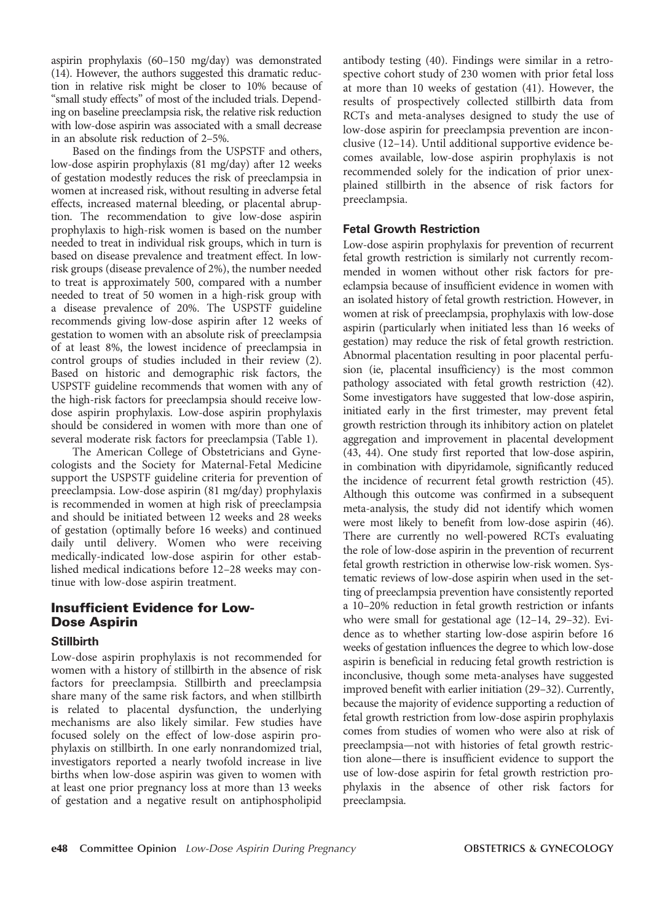aspirin prophylaxis (60–150 mg/day) was demonstrated (14). However, the authors suggested this dramatic reduction in relative risk might be closer to 10% because of "small study effects" of most of the included trials. Depending on baseline preeclampsia risk, the relative risk reduction with low-dose aspirin was associated with a small decrease in an absolute risk reduction of 2–5%.

Based on the findings from the USPSTF and others, low-dose aspirin prophylaxis (81 mg/day) after 12 weeks of gestation modestly reduces the risk of preeclampsia in women at increased risk, without resulting in adverse fetal effects, increased maternal bleeding, or placental abruption. The recommendation to give low-dose aspirin prophylaxis to high-risk women is based on the number needed to treat in individual risk groups, which in turn is based on disease prevalence and treatment effect. In lowrisk groups (disease prevalence of 2%), the number needed to treat is approximately 500, compared with a number needed to treat of 50 women in a high-risk group with a disease prevalence of 20%. The USPSTF guideline recommends giving low-dose aspirin after 12 weeks of gestation to women with an absolute risk of preeclampsia of at least 8%, the lowest incidence of preeclampsia in control groups of studies included in their review (2). Based on historic and demographic risk factors, the USPSTF guideline recommends that women with any of the high-risk factors for preeclampsia should receive lowdose aspirin prophylaxis. Low-dose aspirin prophylaxis should be considered in women with more than one of several moderate risk factors for preeclampsia (Table 1).

The American College of Obstetricians and Gynecologists and the Society for Maternal-Fetal Medicine support the USPSTF guideline criteria for prevention of preeclampsia. Low-dose aspirin (81 mg/day) prophylaxis is recommended in women at high risk of preeclampsia and should be initiated between 12 weeks and 28 weeks of gestation (optimally before 16 weeks) and continued daily until delivery. Women who were receiving medically-indicated low-dose aspirin for other established medical indications before 12–28 weeks may continue with low-dose aspirin treatment.

# Insufficient Evidence for Low-Dose Aspirin

#### Stillbirth

Low-dose aspirin prophylaxis is not recommended for women with a history of stillbirth in the absence of risk factors for preeclampsia. Stillbirth and preeclampsia share many of the same risk factors, and when stillbirth is related to placental dysfunction, the underlying mechanisms are also likely similar. Few studies have focused solely on the effect of low-dose aspirin prophylaxis on stillbirth. In one early nonrandomized trial, investigators reported a nearly twofold increase in live births when low-dose aspirin was given to women with at least one prior pregnancy loss at more than 13 weeks of gestation and a negative result on antiphospholipid antibody testing (40). Findings were similar in a retrospective cohort study of 230 women with prior fetal loss at more than 10 weeks of gestation (41). However, the results of prospectively collected stillbirth data from RCTs and meta-analyses designed to study the use of low-dose aspirin for preeclampsia prevention are inconclusive (12–14). Until additional supportive evidence becomes available, low-dose aspirin prophylaxis is not recommended solely for the indication of prior unexplained stillbirth in the absence of risk factors for preeclampsia.

#### Fetal Growth Restriction

Low-dose aspirin prophylaxis for prevention of recurrent fetal growth restriction is similarly not currently recommended in women without other risk factors for preeclampsia because of insufficient evidence in women with an isolated history of fetal growth restriction. However, in women at risk of preeclampsia, prophylaxis with low-dose aspirin (particularly when initiated less than 16 weeks of gestation) may reduce the risk of fetal growth restriction. Abnormal placentation resulting in poor placental perfusion (ie, placental insufficiency) is the most common pathology associated with fetal growth restriction (42). Some investigators have suggested that low-dose aspirin, initiated early in the first trimester, may prevent fetal growth restriction through its inhibitory action on platelet aggregation and improvement in placental development (43, 44). One study first reported that low-dose aspirin, in combination with dipyridamole, significantly reduced the incidence of recurrent fetal growth restriction (45). Although this outcome was confirmed in a subsequent meta-analysis, the study did not identify which women were most likely to benefit from low-dose aspirin (46). There are currently no well-powered RCTs evaluating the role of low-dose aspirin in the prevention of recurrent fetal growth restriction in otherwise low-risk women. Systematic reviews of low-dose aspirin when used in the setting of preeclampsia prevention have consistently reported a 10–20% reduction in fetal growth restriction or infants who were small for gestational age (12–14, 29–32). Evidence as to whether starting low-dose aspirin before 16 weeks of gestation influences the degree to which low-dose aspirin is beneficial in reducing fetal growth restriction is inconclusive, though some meta-analyses have suggested improved benefit with earlier initiation (29–32). Currently, because the majority of evidence supporting a reduction of fetal growth restriction from low-dose aspirin prophylaxis comes from studies of women who were also at risk of preeclampsia—not with histories of fetal growth restriction alone—there is insufficient evidence to support the use of low-dose aspirin for fetal growth restriction prophylaxis in the absence of other risk factors for preeclampsia.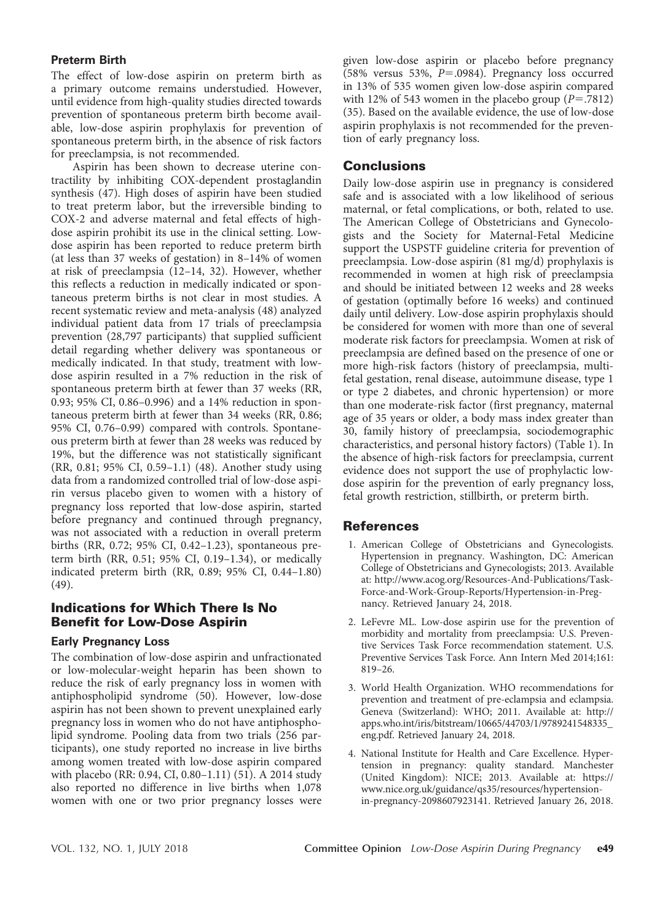#### Preterm Birth

The effect of low-dose aspirin on preterm birth as a primary outcome remains understudied. However, until evidence from high-quality studies directed towards prevention of spontaneous preterm birth become available, low-dose aspirin prophylaxis for prevention of spontaneous preterm birth, in the absence of risk factors for preeclampsia, is not recommended.

Aspirin has been shown to decrease uterine contractility by inhibiting COX-dependent prostaglandin synthesis (47). High doses of aspirin have been studied to treat preterm labor, but the irreversible binding to COX-2 and adverse maternal and fetal effects of highdose aspirin prohibit its use in the clinical setting. Lowdose aspirin has been reported to reduce preterm birth (at less than 37 weeks of gestation) in 8–14% of women at risk of preeclampsia (12–14, 32). However, whether this reflects a reduction in medically indicated or spontaneous preterm births is not clear in most studies. A recent systematic review and meta-analysis (48) analyzed individual patient data from 17 trials of preeclampsia prevention (28,797 participants) that supplied sufficient detail regarding whether delivery was spontaneous or medically indicated. In that study, treatment with lowdose aspirin resulted in a 7% reduction in the risk of spontaneous preterm birth at fewer than 37 weeks (RR, 0.93; 95% CI, 0.86–0.996) and a 14% reduction in spontaneous preterm birth at fewer than 34 weeks (RR, 0.86; 95% CI, 0.76–0.99) compared with controls. Spontaneous preterm birth at fewer than 28 weeks was reduced by 19%, but the difference was not statistically significant (RR, 0.81; 95% CI, 0.59–1.1) (48). Another study using data from a randomized controlled trial of low-dose aspirin versus placebo given to women with a history of pregnancy loss reported that low-dose aspirin, started before pregnancy and continued through pregnancy, was not associated with a reduction in overall preterm births (RR, 0.72; 95% CI, 0.42–1.23), spontaneous preterm birth (RR, 0.51; 95% CI, 0.19–1.34), or medically indicated preterm birth (RR, 0.89; 95% CI, 0.44–1.80) (49).

### Indications for Which There Is No Benefit for Low-Dose Aspirin

#### Early Pregnancy Loss

The combination of low-dose aspirin and unfractionated or low-molecular-weight heparin has been shown to reduce the risk of early pregnancy loss in women with antiphospholipid syndrome (50). However, low-dose aspirin has not been shown to prevent unexplained early pregnancy loss in women who do not have antiphospholipid syndrome. Pooling data from two trials (256 participants), one study reported no increase in live births among women treated with low-dose aspirin compared with placebo (RR: 0.94, CI, 0.80–1.11) (51). A 2014 study also reported no difference in live births when 1,078 women with one or two prior pregnancy losses were

given low-dose aspirin or placebo before pregnancy  $(58\%$  versus 53%,  $P=.0984$ ). Pregnancy loss occurred in 13% of 535 women given low-dose aspirin compared with 12% of 543 women in the placebo group  $(P=.7812)$ (35). Based on the available evidence, the use of low-dose aspirin prophylaxis is not recommended for the prevention of early pregnancy loss.

#### **Conclusions**

Daily low-dose aspirin use in pregnancy is considered safe and is associated with a low likelihood of serious maternal, or fetal complications, or both, related to use. The American College of Obstetricians and Gynecologists and the Society for Maternal-Fetal Medicine support the USPSTF guideline criteria for prevention of preeclampsia. Low-dose aspirin (81 mg/d) prophylaxis is recommended in women at high risk of preeclampsia and should be initiated between 12 weeks and 28 weeks of gestation (optimally before 16 weeks) and continued daily until delivery. Low-dose aspirin prophylaxis should be considered for women with more than one of several moderate risk factors for preeclampsia. Women at risk of preeclampsia are defined based on the presence of one or more high-risk factors (history of preeclampsia, multifetal gestation, renal disease, autoimmune disease, type 1 or type 2 diabetes, and chronic hypertension) or more than one moderate-risk factor (first pregnancy, maternal age of 35 years or older, a body mass index greater than 30, family history of preeclampsia, sociodemographic characteristics, and personal history factors) (Table 1). In the absence of high-risk factors for preeclampsia, current evidence does not support the use of prophylactic lowdose aspirin for the prevention of early pregnancy loss, fetal growth restriction, stillbirth, or preterm birth.

#### **References**

- 1. American College of Obstetricians and Gynecologists. Hypertension in pregnancy. Washington, DC: American College of Obstetricians and Gynecologists; 2013. Available at: [http://www.acog.org/Resources-And-Publications/Task-](http://www.acog.org/Resources-And-Publications/Task-Force-and-Work-Group-Reports/Hypertension-in-Pregnancy)[Force-and-Work-Group-Reports/Hypertension-in-Preg](http://www.acog.org/Resources-And-Publications/Task-Force-and-Work-Group-Reports/Hypertension-in-Pregnancy)[nancy.](http://www.acog.org/Resources-And-Publications/Task-Force-and-Work-Group-Reports/Hypertension-in-Pregnancy) Retrieved January 24, 2018.
- 2. LeFevre ML. Low-dose aspirin use for the prevention of morbidity and mortality from preeclampsia: U.S. Preventive Services Task Force recommendation statement. U.S. Preventive Services Task Force. Ann Intern Med 2014;161: 819–26.
- 3. World Health Organization. WHO recommendations for prevention and treatment of pre-eclampsia and eclampsia. Geneva (Switzerland): WHO; 2011. Available at: [http://](http://apps.who.int/iris/bitstream/10665/44703/1/9789241548335_eng.pdf) [apps.who.int/iris/bitstream/10665/44703/1/9789241548335\\_](http://apps.who.int/iris/bitstream/10665/44703/1/9789241548335_eng.pdf) [eng.pdf](http://apps.who.int/iris/bitstream/10665/44703/1/9789241548335_eng.pdf). Retrieved January 24, 2018.
- 4. National Institute for Health and Care Excellence. Hypertension in pregnancy: quality standard. Manchester (United Kingdom): NICE; 2013. Available at: [https://](https://www.nice.org.uk/guidance/qs35/resources/hypertension-in-pregnancy-2098607923141) [www.nice.org.uk/guidance/qs35/resources/hypertension](https://www.nice.org.uk/guidance/qs35/resources/hypertension-in-pregnancy-2098607923141)[in-pregnancy-2098607923141.](https://www.nice.org.uk/guidance/qs35/resources/hypertension-in-pregnancy-2098607923141) Retrieved January 26, 2018.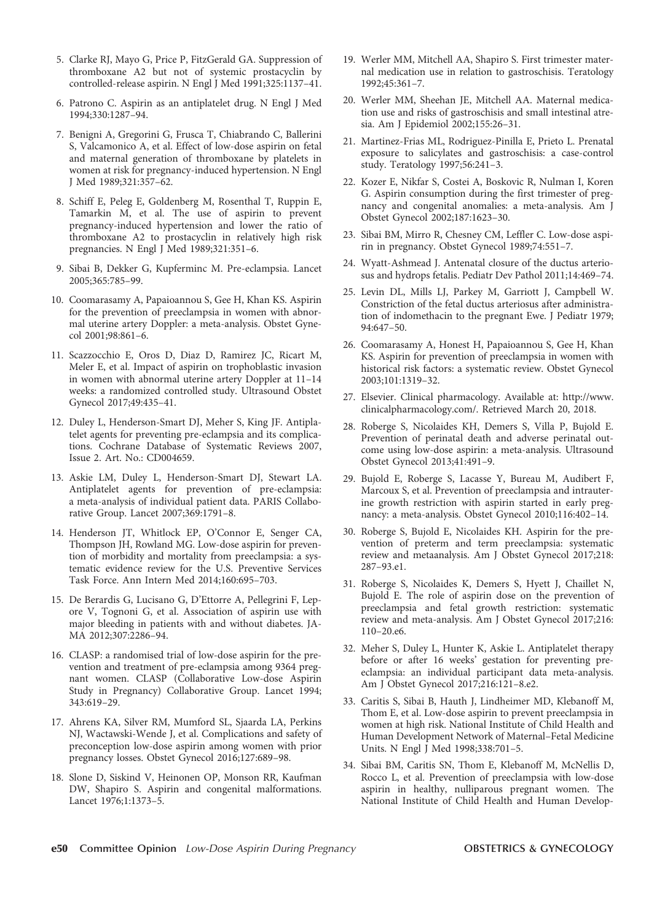- 5. Clarke RJ, Mayo G, Price P, FitzGerald GA. Suppression of thromboxane A2 but not of systemic prostacyclin by controlled-release aspirin. N Engl J Med 1991;325:1137–41.
- 6. Patrono C. Aspirin as an antiplatelet drug. N Engl J Med 1994;330:1287–94.
- 7. Benigni A, Gregorini G, Frusca T, Chiabrando C, Ballerini S, Valcamonico A, et al. Effect of low-dose aspirin on fetal and maternal generation of thromboxane by platelets in women at risk for pregnancy-induced hypertension. N Engl J Med 1989;321:357–62.
- 8. Schiff E, Peleg E, Goldenberg M, Rosenthal T, Ruppin E, Tamarkin M, et al. The use of aspirin to prevent pregnancy-induced hypertension and lower the ratio of thromboxane A2 to prostacyclin in relatively high risk pregnancies. N Engl J Med 1989;321:351–6.
- 9. Sibai B, Dekker G, Kupferminc M. Pre-eclampsia. Lancet 2005;365:785–99.
- 10. Coomarasamy A, Papaioannou S, Gee H, Khan KS. Aspirin for the prevention of preeclampsia in women with abnormal uterine artery Doppler: a meta-analysis. Obstet Gynecol 2001;98:861–6.
- 11. Scazzocchio E, Oros D, Diaz D, Ramirez JC, Ricart M, Meler E, et al. Impact of aspirin on trophoblastic invasion in women with abnormal uterine artery Doppler at 11–14 weeks: a randomized controlled study. Ultrasound Obstet Gynecol 2017;49:435–41.
- 12. Duley L, Henderson-Smart DJ, Meher S, King JF. Antiplatelet agents for preventing pre-eclampsia and its complications. Cochrane Database of Systematic Reviews 2007, Issue 2. Art. No.: CD004659.
- 13. Askie LM, Duley L, Henderson-Smart DJ, Stewart LA. Antiplatelet agents for prevention of pre-eclampsia: a meta-analysis of individual patient data. PARIS Collaborative Group. Lancet 2007;369:1791–8.
- 14. Henderson JT, Whitlock EP, O'Connor E, Senger CA, Thompson JH, Rowland MG. Low-dose aspirin for prevention of morbidity and mortality from preeclampsia: a systematic evidence review for the U.S. Preventive Services Task Force. Ann Intern Med 2014;160:695–703.
- 15. De Berardis G, Lucisano G, D'Ettorre A, Pellegrini F, Lepore V, Tognoni G, et al. Association of aspirin use with major bleeding in patients with and without diabetes. JA-MA 2012;307:2286–94.
- 16. CLASP: a randomised trial of low-dose aspirin for the prevention and treatment of pre-eclampsia among 9364 pregnant women. CLASP (Collaborative Low-dose Aspirin Study in Pregnancy) Collaborative Group. Lancet 1994; 343:619–29.
- 17. Ahrens KA, Silver RM, Mumford SL, Sjaarda LA, Perkins NJ, Wactawski-Wende J, et al. Complications and safety of preconception low-dose aspirin among women with prior pregnancy losses. Obstet Gynecol 2016;127:689–98.
- 18. Slone D, Siskind V, Heinonen OP, Monson RR, Kaufman DW, Shapiro S. Aspirin and congenital malformations. Lancet 1976;1:1373–5.
- 19. Werler MM, Mitchell AA, Shapiro S. First trimester maternal medication use in relation to gastroschisis. Teratology 1992;45:361–7.
- 20. Werler MM, Sheehan JE, Mitchell AA. Maternal medication use and risks of gastroschisis and small intestinal atresia. Am J Epidemiol 2002;155:26–31.
- 21. Martinez-Frias ML, Rodriguez-Pinilla E, Prieto L. Prenatal exposure to salicylates and gastroschisis: a case-control study. Teratology 1997;56:241–3.
- 22. Kozer E, Nikfar S, Costei A, Boskovic R, Nulman I, Koren G. Aspirin consumption during the first trimester of pregnancy and congenital anomalies: a meta-analysis. Am J Obstet Gynecol 2002;187:1623–30.
- 23. Sibai BM, Mirro R, Chesney CM, Leffler C. Low-dose aspirin in pregnancy. Obstet Gynecol 1989;74:551–7.
- 24. Wyatt-Ashmead J. Antenatal closure of the ductus arteriosus and hydrops fetalis. Pediatr Dev Pathol 2011;14:469–74.
- 25. Levin DL, Mills LJ, Parkey M, Garriott J, Campbell W. Constriction of the fetal ductus arteriosus after administration of indomethacin to the pregnant Ewe. J Pediatr 1979; 94:647–50.
- 26. Coomarasamy A, Honest H, Papaioannou S, Gee H, Khan KS. Aspirin for prevention of preeclampsia in women with historical risk factors: a systematic review. Obstet Gynecol 2003;101:1319–32.
- 27. Elsevier. Clinical pharmacology. Available at: [http://www.](http://www.clinicalpharmacology.com/) [clinicalpharmacology.com/.](http://www.clinicalpharmacology.com/) Retrieved March 20, 2018.
- 28. Roberge S, Nicolaides KH, Demers S, Villa P, Bujold E. Prevention of perinatal death and adverse perinatal outcome using low-dose aspirin: a meta-analysis. Ultrasound Obstet Gynecol 2013;41:491–9.
- 29. Bujold E, Roberge S, Lacasse Y, Bureau M, Audibert F, Marcoux S, et al. Prevention of preeclampsia and intrauterine growth restriction with aspirin started in early pregnancy: a meta-analysis. Obstet Gynecol 2010;116:402–14.
- 30. Roberge S, Bujold E, Nicolaides KH. Aspirin for the prevention of preterm and term preeclampsia: systematic review and metaanalysis. Am J Obstet Gynecol 2017;218: 287–93.e1.
- 31. Roberge S, Nicolaides K, Demers S, Hyett J, Chaillet N, Bujold E. The role of aspirin dose on the prevention of preeclampsia and fetal growth restriction: systematic review and meta-analysis. Am J Obstet Gynecol 2017;216: 110–20.e6.
- 32. Meher S, Duley L, Hunter K, Askie L. Antiplatelet therapy before or after 16 weeks' gestation for preventing preeclampsia: an individual participant data meta-analysis. Am J Obstet Gynecol 2017;216:121–8.e2.
- 33. Caritis S, Sibai B, Hauth J, Lindheimer MD, Klebanoff M, Thom E, et al. Low-dose aspirin to prevent preeclampsia in women at high risk. National Institute of Child Health and Human Development Network of Maternal–Fetal Medicine Units. N Engl J Med 1998;338:701–5.
- 34. Sibai BM, Caritis SN, Thom E, Klebanoff M, McNellis D, Rocco L, et al. Prevention of preeclampsia with low-dose aspirin in healthy, nulliparous pregnant women. The National Institute of Child Health and Human Develop-
- e50 Committee Opinion Low-Dose Aspirin During Pregnancy **COUSTETRICS & GYNECOLOGY**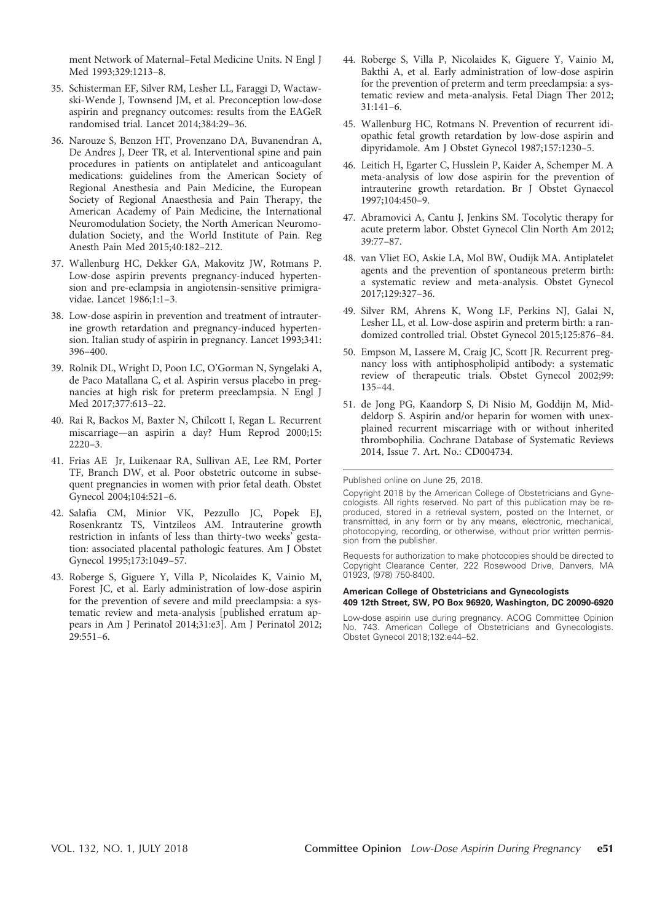ment Network of Maternal–Fetal Medicine Units. N Engl J Med 1993;329:1213–8.

- 35. Schisterman EF, Silver RM, Lesher LL, Faraggi D, Wactawski-Wende J, Townsend JM, et al. Preconception low-dose aspirin and pregnancy outcomes: results from the EAGeR randomised trial. Lancet 2014;384:29–36.
- 36. Narouze S, Benzon HT, Provenzano DA, Buvanendran A, De Andres J, Deer TR, et al. Interventional spine and pain procedures in patients on antiplatelet and anticoagulant medications: guidelines from the American Society of Regional Anesthesia and Pain Medicine, the European Society of Regional Anaesthesia and Pain Therapy, the American Academy of Pain Medicine, the International Neuromodulation Society, the North American Neuromodulation Society, and the World Institute of Pain. Reg Anesth Pain Med 2015;40:182–212.
- 37. Wallenburg HC, Dekker GA, Makovitz JW, Rotmans P. Low-dose aspirin prevents pregnancy-induced hypertension and pre-eclampsia in angiotensin-sensitive primigravidae. Lancet 1986;1:1–3.
- 38. Low-dose aspirin in prevention and treatment of intrauterine growth retardation and pregnancy-induced hypertension. Italian study of aspirin in pregnancy. Lancet 1993;341: 396–400.
- 39. Rolnik DL, Wright D, Poon LC, O'Gorman N, Syngelaki A, de Paco Matallana C, et al. Aspirin versus placebo in pregnancies at high risk for preterm preeclampsia. N Engl J Med 2017;377:613–22.
- 40. Rai R, Backos M, Baxter N, Chilcott I, Regan L. Recurrent miscarriage—an aspirin a day? Hum Reprod 2000;15: 2220–3.
- 41. Frias AE Jr, Luikenaar RA, Sullivan AE, Lee RM, Porter TF, Branch DW, et al. Poor obstetric outcome in subsequent pregnancies in women with prior fetal death. Obstet Gynecol 2004;104:521–6.
- 42. Salafia CM, Minior VK, Pezzullo JC, Popek EJ, Rosenkrantz TS, Vintzileos AM. Intrauterine growth restriction in infants of less than thirty-two weeks' gestation: associated placental pathologic features. Am J Obstet Gynecol 1995;173:1049–57.
- 43. Roberge S, Giguere Y, Villa P, Nicolaides K, Vainio M, Forest JC, et al. Early administration of low-dose aspirin for the prevention of severe and mild preeclampsia: a systematic review and meta-analysis [published erratum appears in Am J Perinatol 2014;31:e3]. Am J Perinatol 2012; 29:551–6.
- 44. Roberge S, Villa P, Nicolaides K, Giguere Y, Vainio M, Bakthi A, et al. Early administration of low-dose aspirin for the prevention of preterm and term preeclampsia: a systematic review and meta-analysis. Fetal Diagn Ther 2012; 31:141–6.
- 45. Wallenburg HC, Rotmans N. Prevention of recurrent idiopathic fetal growth retardation by low-dose aspirin and dipyridamole. Am J Obstet Gynecol 1987;157:1230–5.
- 46. Leitich H, Egarter C, Husslein P, Kaider A, Schemper M. A meta-analysis of low dose aspirin for the prevention of intrauterine growth retardation. Br J Obstet Gynaecol 1997;104:450–9.
- 47. Abramovici A, Cantu J, Jenkins SM. Tocolytic therapy for acute preterm labor. Obstet Gynecol Clin North Am 2012; 39:77–87.
- 48. van Vliet EO, Askie LA, Mol BW, Oudijk MA. Antiplatelet agents and the prevention of spontaneous preterm birth: a systematic review and meta-analysis. Obstet Gynecol 2017;129:327–36.
- 49. Silver RM, Ahrens K, Wong LF, Perkins NJ, Galai N, Lesher LL, et al. Low-dose aspirin and preterm birth: a randomized controlled trial. Obstet Gynecol 2015;125:876–84.
- 50. Empson M, Lassere M, Craig JC, Scott JR. Recurrent pregnancy loss with antiphospholipid antibody: a systematic review of therapeutic trials. Obstet Gynecol 2002;99: 135–44.
- 51. de Jong PG, Kaandorp S, Di Nisio M, Goddijn M, Middeldorp S. Aspirin and/or heparin for women with unexplained recurrent miscarriage with or without inherited thrombophilia. Cochrane Database of Systematic Reviews 2014, Issue 7. Art. No.: CD004734.

Requests for authorization to make photocopies should be directed to Copyright Clearance Center, 222 Rosewood Drive, Danvers, MA 01923, (978) 750-8400.

#### American College of Obstetricians and Gynecologists 409 12th Street, SW, PO Box 96920, Washington, DC 20090-6920

Low-dose aspirin use during pregnancy. ACOG Committee Opinion No. 743. American College of Obstetricians and Gynecologists. Obstet Gynecol 2018;132:e44–52.

Published online on June 25, 2018.

Copyright 2018 by the American College of Obstetricians and Gynecologists. All rights reserved. No part of this publication may be reproduced, stored in a retrieval system, posted on the Internet, or transmitted, in any form or by any means, electronic, mechanical, photocopying, recording, or otherwise, without prior written permission from the publisher.